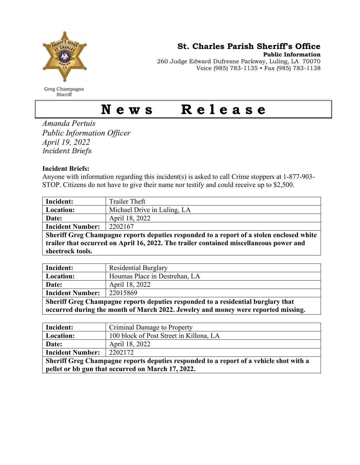

Greg Champagne Sheriff

St. Charles Parish Sheriff's Office

Public Information

260 Judge Edward Dufresne Parkway, Luling, LA 70070 Voice (985) 783-1135 • Fax (985) 783-1138

## News Release

Amanda Pertuis Public Information Officer April 19, 2022 Incident Briefs

## Incident Briefs:

Anyone with information regarding this incident(s) is asked to call Crime stoppers at 1-877-903- STOP. Citizens do not have to give their name nor testify and could receive up to \$2,500.

| Incident:                                                                                | Trailer Theft               |  |
|------------------------------------------------------------------------------------------|-----------------------------|--|
| Location:                                                                                | Michael Drive in Luling, LA |  |
| Date:                                                                                    | April 18, 2022              |  |
| <b>Incident Number:</b>                                                                  | 2202167                     |  |
| Sheriff Greg Champagne reports deputies responded to a report of a stolen enclosed white |                             |  |
| trailer that occurred on April 16, 2022. The trailer contained miscellaneous power and   |                             |  |
| sheetrock tools.                                                                         |                             |  |

| Incident:                                                                         | <b>Residential Burglary</b>   |  |
|-----------------------------------------------------------------------------------|-------------------------------|--|
| Location:                                                                         | Houmas Place in Destrehan, LA |  |
| Date:                                                                             | April 18, 2022                |  |
| <b>Incident Number:</b>                                                           | 22015869                      |  |
| Sheriff Greg Champagne reports deputies responded to a residential burglary that  |                               |  |
| occurred during the month of March 2022. Jewelry and money were reported missing. |                               |  |

| Incident:                                                                              | Criminal Damage to Property             |  |
|----------------------------------------------------------------------------------------|-----------------------------------------|--|
| Location:                                                                              | 100 block of Post Street in Killona, LA |  |
| Date:                                                                                  | April 18, 2022                          |  |
| <b>Incident Number:</b>                                                                | 2202172                                 |  |
| Sheriff Greg Champagne reports deputies responded to a report of a vehicle shot with a |                                         |  |
| pellet or bb gun that occurred on March 17, 2022.                                      |                                         |  |
|                                                                                        |                                         |  |